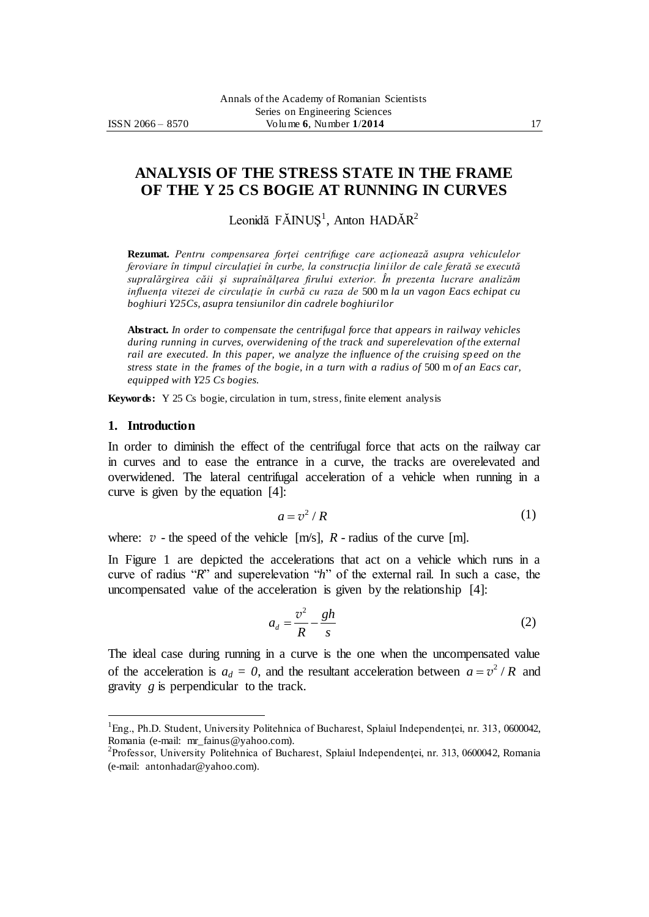# **ANALYSIS OF THE STRESS STATE IN THE FRAME OF THE Y 25 CS BOGIE AT RUNNING IN CURVES**

Leonidă FĂINUȘ<sup>1</sup>, Anton HADĂR<sup>2</sup>

**Rezumat.** *Pentru compensarea forţei centrifuge care acţionează asupra vehiculelor feroviare în timpul circulaţiei în curbe, la construcţia liniilor de cale ferată se execută supralărgirea căii şi supraînălţarea firului exterior. În prezenta lucrare analizăm influenţa vitezei de circulaţie în curbă cu raza de* 500 m *la un vagon Eacs echipat cu boghiuri Y25Cs, asupra tensiunilor din cadrele boghiurilor*

**Abstract.** *In order to compensate the centrifugal force that appears in railway vehicles during running in curves, overwidening of the track and superelevation of the external rail are executed. In this paper, we analyze the influence of the cruising sp eed on the stress state in the frames of the bogie, in a turn with a radius of* 500 m *of an Eacs car, equipped with Y25 Cs bogies.*

**Keywords:** Y 25 Cs bogie, circulation in turn, stress, finite element analysis

### **1. Introduction**

 $\overline{a}$ 

In order to diminish the effect of the centrifugal force that acts on the railway car in curves and to ease the entrance in a curve, the tracks are overelevated and overwidened. The lateral centrifugal acceleration of a vehicle when running in a curve is given by the equation [4]:

$$
a = v^2 / R \tag{1}
$$

where:  $v$  - the speed of the vehicle  $[m/s]$ ,  $R$  - radius of the curve  $[m]$ .

In Figure 1 are depicted the accelerations that act on a vehicle which runs in a curve of radius "*R*" and superelevation "*h*" of the external rail. In such a case, the uncompensated value of the acceleration is given by the relationship [4]:

$$
a_d = \frac{v^2}{R} - \frac{gh}{s} \tag{2}
$$

The ideal case during running in a curve is the one when the uncompensated value of the acceleration is  $a_d = 0$ , and the resultant acceleration between  $a = v^2 / R$  and gravity *g* is perpendicular to the track.

<sup>&</sup>lt;sup>1</sup>Eng., Ph.D. Student, University Politehnica of Bucharest, Splaiul Independenței, nr. 313, 0600042, Romania (e-mail: mr\_fainus@yahoo.com).

<sup>2</sup> Professor, University Politehnica of Bucharest, Splaiul Independenţei, nr. 313, 0600042, Romania (e-mail: antonhadar@yahoo.com).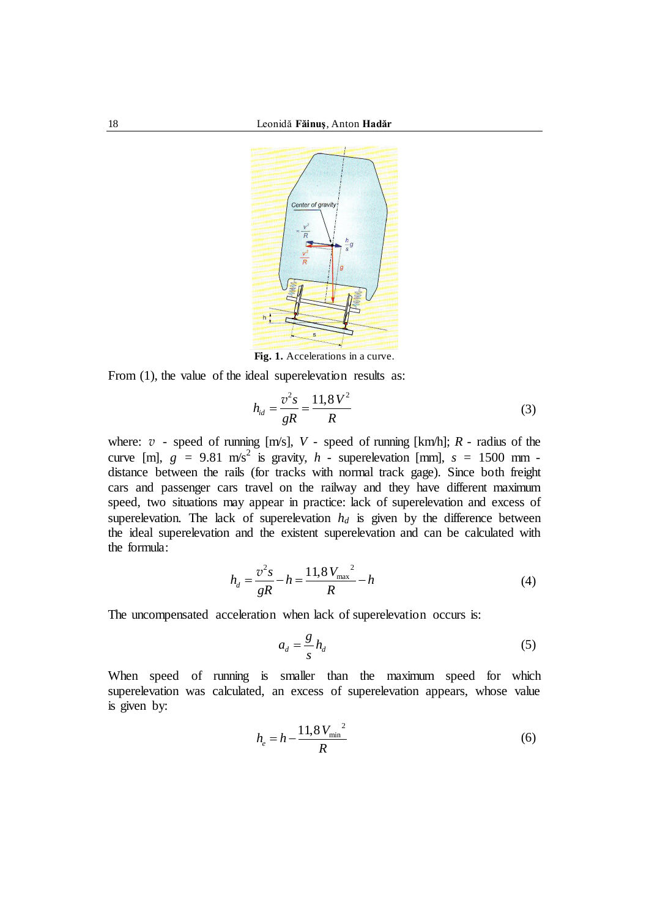

**Fig. 1.** Accelerations in a curve.

From  $(1)$ , the value of the ideal superelevation results as:

$$
h_{id} = \frac{v^2 s}{gR} = \frac{11.8 V^2}{R}
$$
 (3)

where:  $v$  - speed of running  $[m/s]$ ,  $V$  - speed of running  $[km/h]$ ;  $R$  - radius of the curve [m],  $g = 9.81$  m/s<sup>2</sup> is gravity,  $h$  - superelevation [mm],  $s = 1500$  mm distance between the rails (for tracks with normal track gage). Since both freight cars and passenger cars travel on the railway and they have different maximum speed, two situations may appear in practice: lack of superelevation and excess of superelevation. The lack of superelevation  $h_d$  is given by the difference between the ideal superelevation and the existent superelevation and can be calculated with the formula:

$$
h_d = \frac{v^2 s}{gR} - h = \frac{11.8 V_{\text{max}}^2}{R} - h
$$
 (4)

The uncompensated acceleration when lack of superelevation occurs is:

$$
a_d = \frac{g}{s} h_d \tag{5}
$$

When speed of running is smaller than the maximum speed for which superelevation was calculated, an excess of superelevation appears, whose value is given by:

$$
h_e = h - \frac{11.8 V_{\text{min}}^2}{R}
$$
 (6)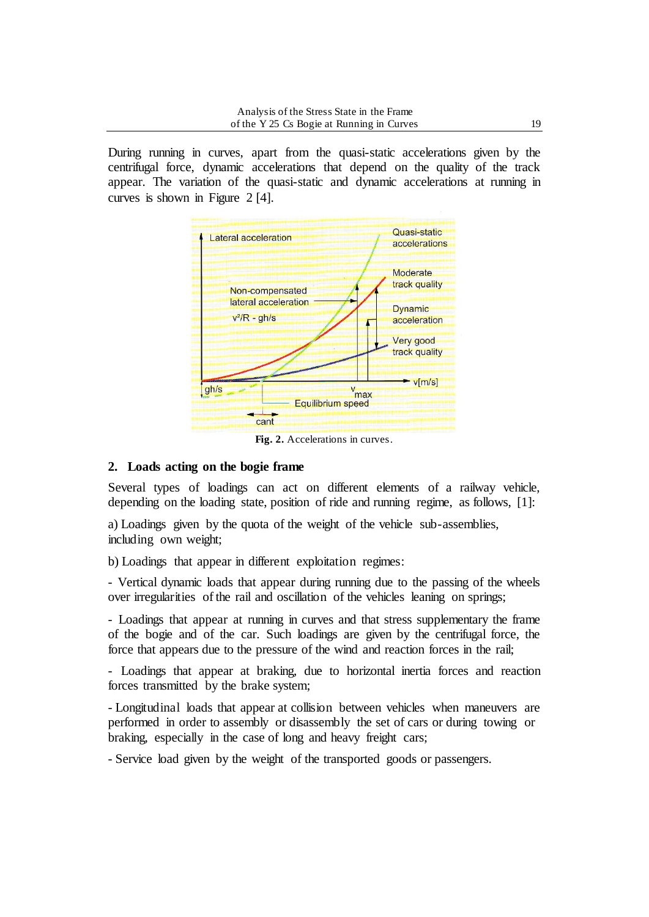During running in curves, apart from the quasi-static accelerations given by the centrifugal force, dynamic accelerations that depend on the quality of the track appear. The variation of the quasi-static and dynamic accelerations at running in curves is shown in Figure 2 [4].



**Fig. 2.** Accelerations in curves.

## **2. Loads acting on the bogie frame**

Several types of loadings can act on different elements of a railway vehicle, depending on the loading state, position of ride and running regime, as follows, [1]:

a) Loadings given by the quota of the weight of the vehicle sub-assemblies, including own weight;

b) Loadings that appear in different exploitation regimes:

- Vertical dynamic loads that appear during running due to the passing of the wheels over irregularities of the rail and oscillation of the vehicles leaning on springs;

- Loadings that appear at running in curves and that stress supplementary the frame of the bogie and of the car. Such loadings are given by the centrifugal force, the force that appears due to the pressure of the wind and reaction forces in the rail;

- Loadings that appear at braking, due to horizontal inertia forces and reaction forces transmitted by the brake system;

- Longitudinal loads that appear at collision between vehicles when maneuvers are performed in order to assembly or disassembly the set of cars or during towing or braking, especially in the case of long and heavy freight cars;

- Service load given by the weight of the transported goods or passengers.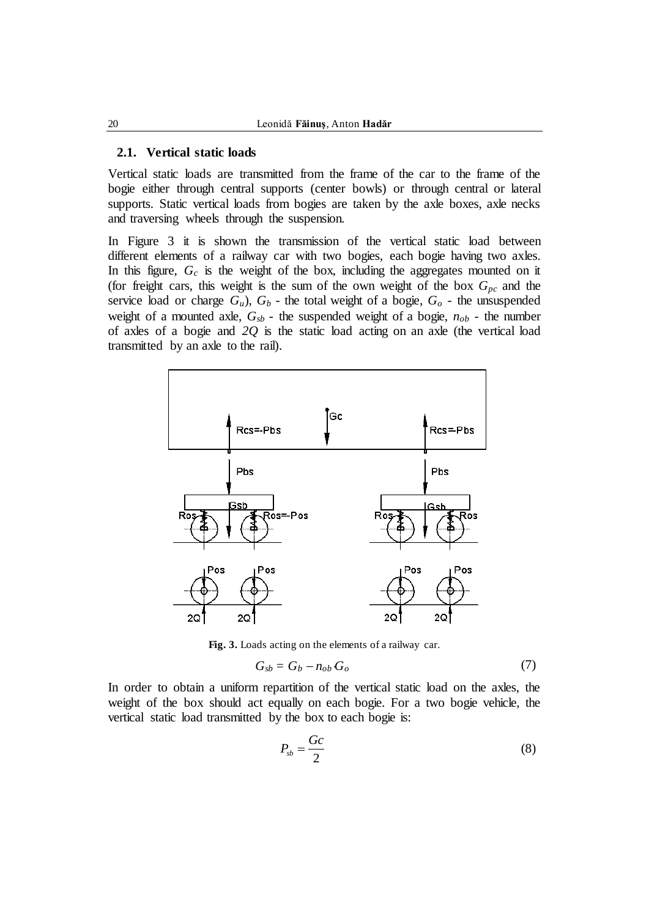#### **2.1. Vertical static loads**

Vertical static loads are transmitted from the frame of the car to the frame of the bogie either through central supports (center bowls) or through central or lateral supports. Static vertical loads from bogies are taken by the axle boxes, axle necks and traversing wheels through the suspension.

In Figure 3 it is shown the transmission of the vertical static load between different elements of a railway car with two bogies, each bogie having two axles. In this figure,  $G_c$  is the weight of the box, including the aggregates mounted on it (for freight cars, this weight is the sum of the own weight of the box  $G_{pc}$  and the service load or charge  $G_u$ ),  $G_b$  - the total weight of a bogie,  $G_o$  - the unsuspended weight of a mounted axle,  $G_{sb}$  - the suspended weight of a bogie,  $n_{ob}$  - the number of axles of a bogie and *2Q* is the static load acting on an axle (the vertical load transmitted by an axle to the rail).



**Fig. 3.** Loads acting on the elements of a railway car.

$$
G_{sb} = G_b - n_{ob} G_o \tag{7}
$$

In order to obtain a uniform repartition of the vertical static load on the axles, the weight of the box should act equally on each bogie. For a two bogie vehicle, the vertical static load transmitted by the box to each bogie is:

$$
P_{sb} = \frac{Gc}{2} \tag{8}
$$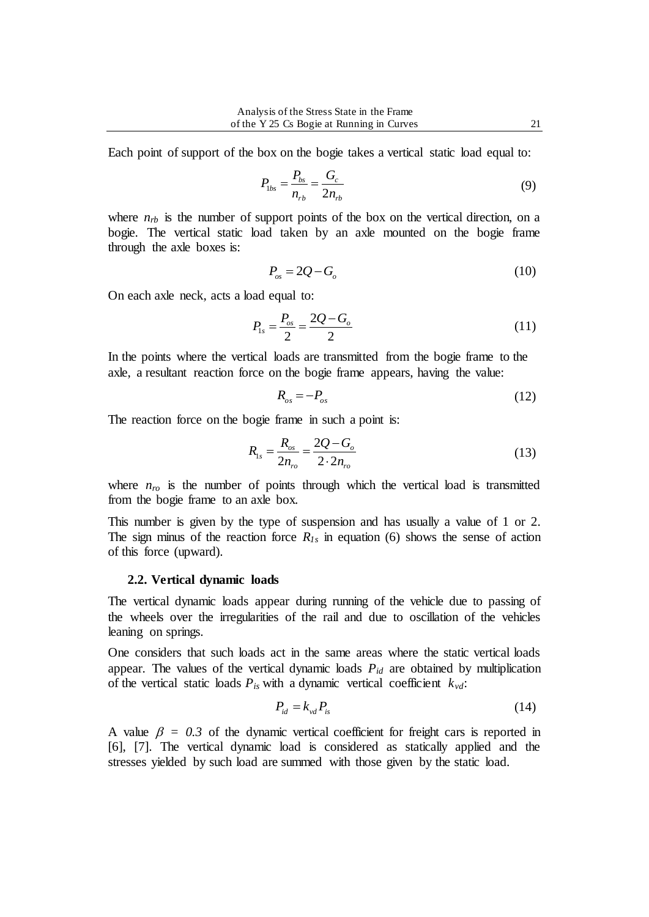Each point of support of the box on the bogie takes a vertical static load equal to:

$$
P_{\text{1bs}} = \frac{P_{\text{bs}}}{n_{\text{rb}}} = \frac{G_c}{2n_{\text{rb}}}
$$
(9)

where  $n_{rb}$  is the number of support points of the box on the vertical direction, on a bogie. The vertical static load taken by an axle mounted on the bogie frame through the axle boxes is:

$$
P_{os} = 2Q - G_o \tag{10}
$$

On each axle neck, acts a load equal to:

$$
P_{1s} = \frac{P_{os}}{2} = \frac{2Q - G_o}{2} \tag{11}
$$

In the points where the vertical loads are transmitted from the bogie frame to the axle, a resultant reaction force on the bogie frame appears, having the value:

$$
R_{os} = -P_{os} \tag{12}
$$

The reaction force on the bogie frame in such a point is:

$$
R_{1s} = \frac{R_{os}}{2n_{ro}} = \frac{2Q - G_o}{2 \cdot 2n_{ro}}
$$
(13)

where  $n_{ro}$  is the number of points through which the vertical load is transmitted from the bogie frame to an axle box.

This number is given by the type of suspension and has usually a value of 1 or 2. The sign minus of the reaction force  $R_{1s}$  in equation (6) shows the sense of action of this force (upward).

#### **2.2. Vertical dynamic loads**

The vertical dynamic loads appear during running of the vehicle due to passing of the wheels over the irregularities of the rail and due to oscillation of the vehicles leaning on springs.

One considers that such loads act in the same areas where the static vertical loads appear. The values of the vertical dynamic loads *Pid* are obtained by multiplication of the vertical static loads  $P_{is}$  with a dynamic vertical coefficient  $k_{vd}$ :

$$
P_{id} = k_{vd} P_{is} \tag{14}
$$

A value  $\beta = 0.3$  of the dynamic vertical coefficient for freight cars is reported in [6], [7]. The vertical dynamic load is considered as statically applied and the stresses yielded by such load are summed with those given by the static load.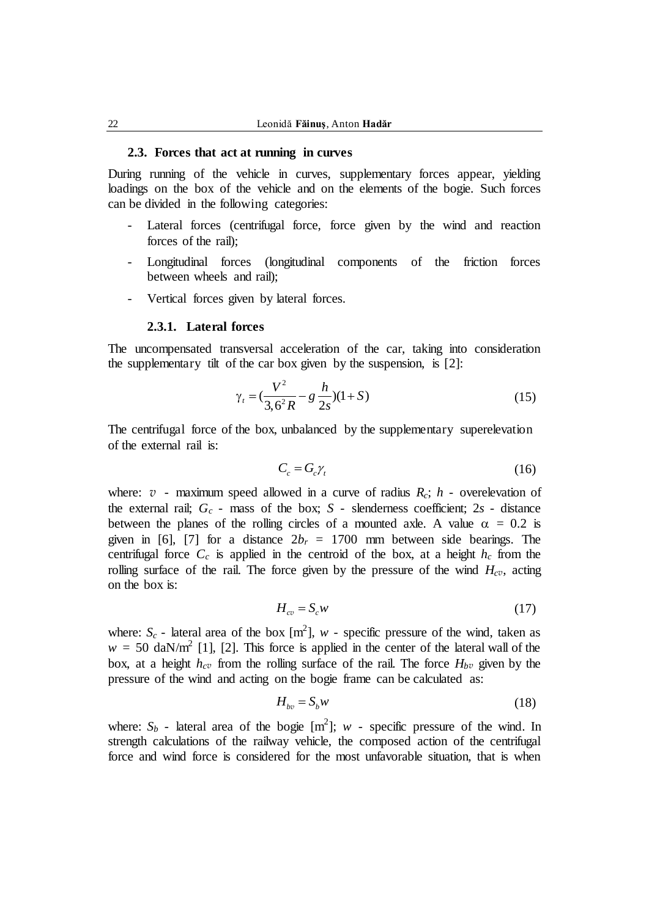#### **2.3. Forces that act at running in curves**

During running of the vehicle in curves, supplementary forces appear, yielding loadings on the box of the vehicle and on the elements of the bogie. Such forces can be divided in the following categories:

- Lateral forces (centrifugal force, force given by the wind and reaction forces of the rail);
- Longitudinal forces (longitudinal components of the friction forces between wheels and rail);
- Vertical forces given by lateral forces.

#### **2.3.1. Lateral forces**

The uncompensated transversal acceleration of the car, taking into consideration the supplementary tilt of the car box given by the suspension, is [2]:

$$
\gamma_t = \left(\frac{V^2}{3.6^2 R} - g \frac{h}{2s}\right)(1+S) \tag{15}
$$

The centrifugal force of the box, unbalanced by the supplementary superelevation of the external rail is:

$$
C_c = G_c \gamma_t \tag{16}
$$

where:  $v$  - maximum speed allowed in a curve of radius  $R_c$ ;  $h$  - overelevation of the external rail; *G<sup>c</sup>* - mass of the box; *S* - slenderness coefficient; 2*s* - distance between the planes of the rolling circles of a mounted axle. A value  $\alpha = 0.2$  is given in [6], [7] for a distance  $2b_r = 1700$  mm between side bearings. The centrifugal force  $C_c$  is applied in the centroid of the box, at a height  $h_c$  from the rolling surface of the rail. The force given by the pressure of the wind  $H_{c}$ <sup>*v*</sup>, acting on the box is:

$$
H_{cv} = S_c w \tag{17}
$$

where:  $S_c$  - lateral area of the box  $[m^2]$ ,  $w$  - specific pressure of the wind, taken as  $w = 50$  daN/m<sup>2</sup> [1], [2]. This force is applied in the center of the lateral wall of the box, at a height  $h_{c}$ <sup>*v*</sup> from the rolling surface of the rail. The force  $H_{b}$ <sup>*v*</sup> given by the pressure of the wind and acting on the bogie frame can be calculated as:

$$
H_{bv} = S_b w \tag{18}
$$

where:  $S_b$  - lateral area of the bogie  $[m^2]$ ; *w* - specific pressure of the wind. In strength calculations of the railway vehicle, the composed action of the centrifugal force and wind force is considered for the most unfavorable situation, that is when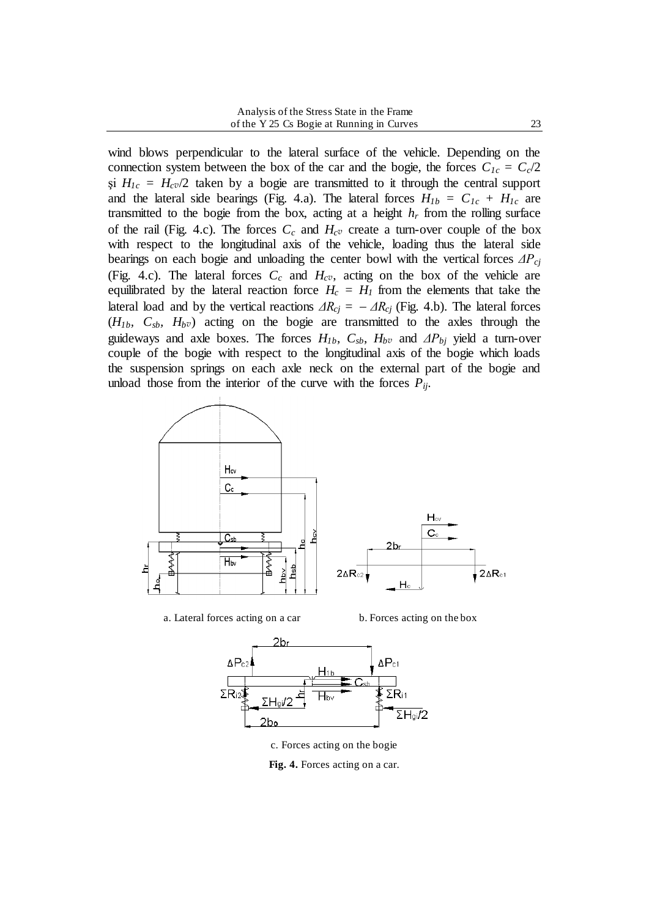wind blows perpendicular to the lateral surface of the vehicle. Depending on the connection system between the box of the car and the bogie, the forces  $C_{1c} = C_c/2$  $\sin H_{1c} = H_{c}$ <sup> $\sigma$ </sup> taken by a bogie are transmitted to it through the central support and the lateral side bearings (Fig. 4.a). The lateral forces  $H_{1b} = C_{1c} + H_{1c}$  are transmitted to the bogie from the box, acting at a height  $h_r$  from the rolling surface of the rail (Fig. 4.c). The forces  $C_c$  and  $H_{c}$ <sup>*v*</sup> create a turn-over couple of the box with respect to the longitudinal axis of the vehicle, loading thus the lateral side bearings on each bogie and unloading the center bowl with the vertical forces *ΔPcj* (Fig. 4.c). The lateral forces  $C_c$  and  $H_{c}$ *v*, acting on the box of the vehicle are equilibrated by the lateral reaction force  $H_c = H_l$  from the elements that take the lateral load and by the vertical reactions  $\Delta R_{ci} = -\Delta R_{ci}$  (Fig. 4.b). The lateral forces  $(H_{1b}, C_{sb}, H_{bv})$  acting on the bogie are transmitted to the axles through the guideways and axle boxes. The forces  $H_{1b}$ ,  $C_{sb}$ ,  $H_{bv}$  and  $\Delta P_{bi}$  yield a turn-over couple of the bogie with respect to the longitudinal axis of the bogie which loads the suspension springs on each axle neck on the external part of the bogie and unload those from the interior of the curve with the forces  $P_{ij}$ .



a. Lateral forces acting on a car b. Forces acting on the box



c. Forces acting on the bogie

**Fig. 4.** Forces acting on a car.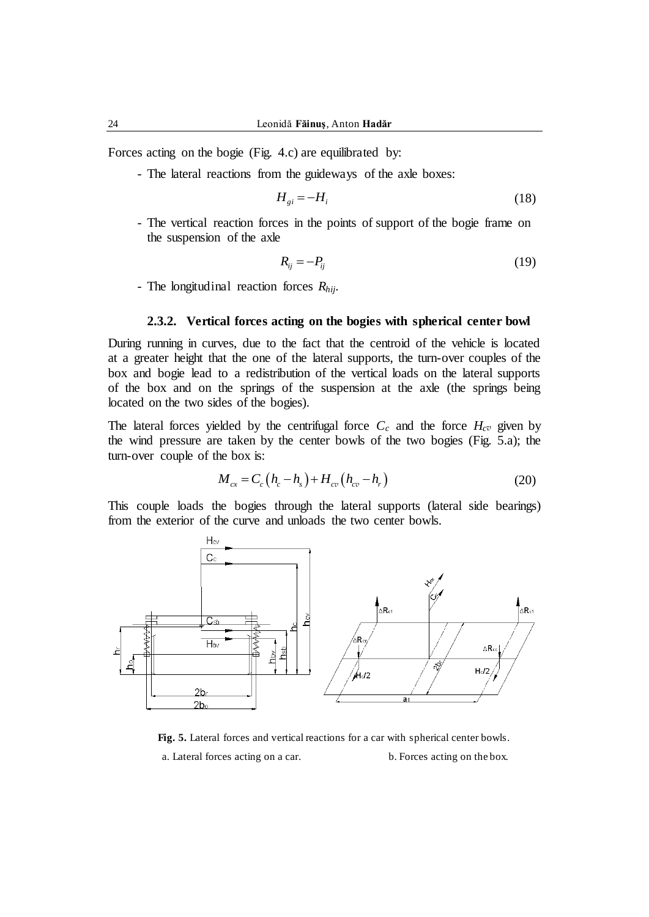Forces acting on the bogie (Fig. 4.c) are equilibrated by:

- The lateral reactions from the guideways of the axle boxes:

$$
H_{gi} = -H_i \tag{18}
$$

- The vertical reaction forces in the points of support of the bogie frame on the suspension of the axle

$$
R_{ij} = -P_{ij} \tag{19}
$$

- The longitudinal reaction forces *Rhij*.

### **2.3.2. Vertical forces acting on the bogies with spherical center bowl**

During running in curves, due to the fact that the centroid of the vehicle is located at a greater height that the one of the lateral supports, the turn-over couples of the box and bogie lead to a redistribution of the vertical loads on the lateral supports of the box and on the springs of the suspension at the axle (the springs being located on the two sides of the bogies).

The lateral forces yielded by the centrifugal force  $C_c$  and the force  $H_{c}$ <sup>*v*</sup> given by the wind pressure are taken by the center bowls of the two bogies (Fig. 5.a); the turn-over couple of the box is:

$$
M_{cx} = C_c (h_c - h_s) + H_{cv} (h_{cv} - h_r)
$$
 (20)

This couple loads the bogies through the lateral supports (lateral side bearings) from the exterior of the curve and unloads the two center bowls.



**Fig. 5.** Lateral forces and vertical reactions for a car with spherical center bowls.

a. Lateral forces acting on a car. b. Forces acting on the box.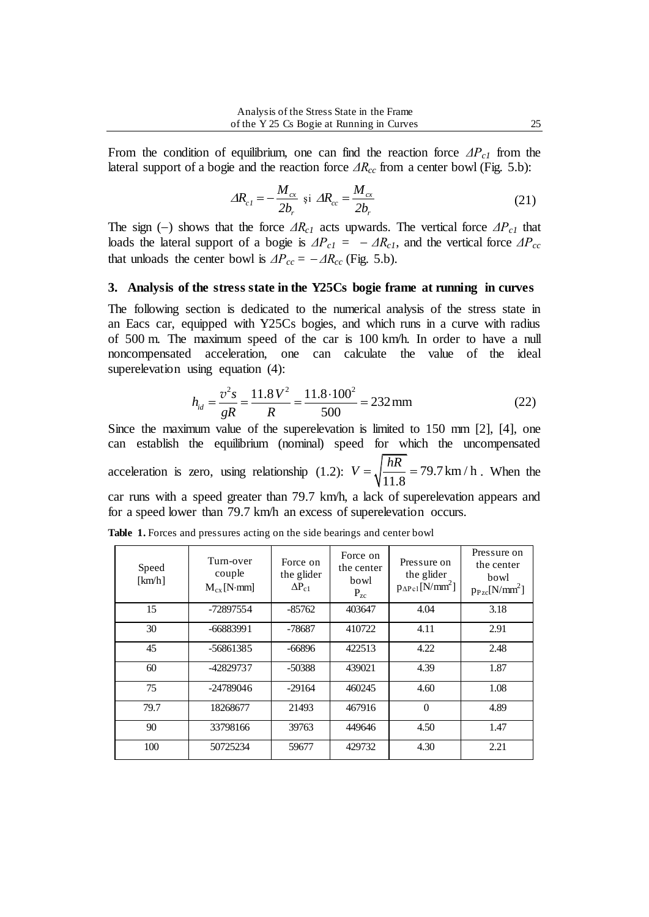From the condition of equilibrium, one can find the reaction force *ΔPc1* from the lateral support of a bogie and the reaction force *ΔRcc* from a center bowl (Fig. 5.b):

$$
\Delta R_{c1} = -\frac{M_{cx}}{2b_r} \text{ si } \Delta R_{cc} = \frac{M_{cx}}{2b_r}
$$
 (21)

The sign (-) shows that the force  $\Delta R_{c1}$  acts upwards. The vertical force  $\Delta P_{c1}$  that loads the lateral support of a bogie is  $\Delta P_{c1} = -\Delta R_{c1}$ , and the vertical force  $\Delta P_{cc}$ that unloads the center bowl is  $\Delta P_{cc} = -\Delta R_{cc}$  (Fig. 5.b).

#### **3. Analysis of the stress state in the Y25Cs bogie frame at running in curves**

The following section is dedicated to the numerical analysis of the stress state in an Eacs car, equipped with Y25Cs bogies, and which runs in a curve with radius of 500 m. The maximum speed of the car is 100 km/h. In order to have a null noncompensated acceleration, one can calculate the value of the ideal

superelevation using equation (4):  
\n
$$
h_{id} = \frac{v^2 s}{gR} = \frac{11.8 V^2}{R} = \frac{11.8 \cdot 100^2}{500} = 232 \text{ mm}
$$
\n(22)

Since the maximum value of the superelevation is limited to 150 mm [2], [4], one can establish the equilibrium (nominal) speed for which the uncompensated acceleration is zero, using relationship (1.2):  $V = \sqrt{\frac{hR}{11.8}} = 79.7 \text{ km/h}$  $V = \sqrt{\frac{hR}{11.8}} = 79.7 \text{ km/h}$ . When the car runs with a speed greater than 79.7 km/h, a lack of superelevation appears and for a speed lower than 79.7 km/h an excess of superelevation occurs.

| Speed<br>[km/h] | Turn-over<br>couple<br>$M_{cx}$ [N·mm] | Force on<br>the glider<br>$\Delta P_{c1}$ | Force on<br>the center<br>bowl<br>$P_{zc}$ | Pressure on<br>the glider<br>$p_{\Delta P c1}$ [N/mm <sup>2</sup> ] | Pressure on<br>the center<br>bowl<br>$p_{Pzc}[N/mm^2]$ |
|-----------------|----------------------------------------|-------------------------------------------|--------------------------------------------|---------------------------------------------------------------------|--------------------------------------------------------|
| 15              | -72897554                              | $-85762$                                  | 403647                                     | 4.04                                                                | 3.18                                                   |
| 30              | $-66883991$                            | -78687                                    | 410722                                     | 4.11                                                                | 2.91                                                   |
| 45              | -56861385                              | $-66896$                                  | 422513                                     | 4.22                                                                | 2.48                                                   |
| 60              | -42829737                              | $-50388$                                  | 439021                                     | 4.39                                                                | 1.87                                                   |
| 75              | $-24789046$                            | $-29164$                                  | 460245                                     | 4.60                                                                | 1.08                                                   |
| 79.7            | 18268677                               | 21493                                     | 467916                                     | $\Omega$                                                            | 4.89                                                   |
| 90              | 33798166                               | 39763                                     | 449646                                     | 4.50                                                                | 1.47                                                   |
| 100             | 50725234                               | 59677                                     | 429732                                     | 4.30                                                                | 2.21                                                   |

**Table 1.** Forces and pressures acting on the side bearings and center bowl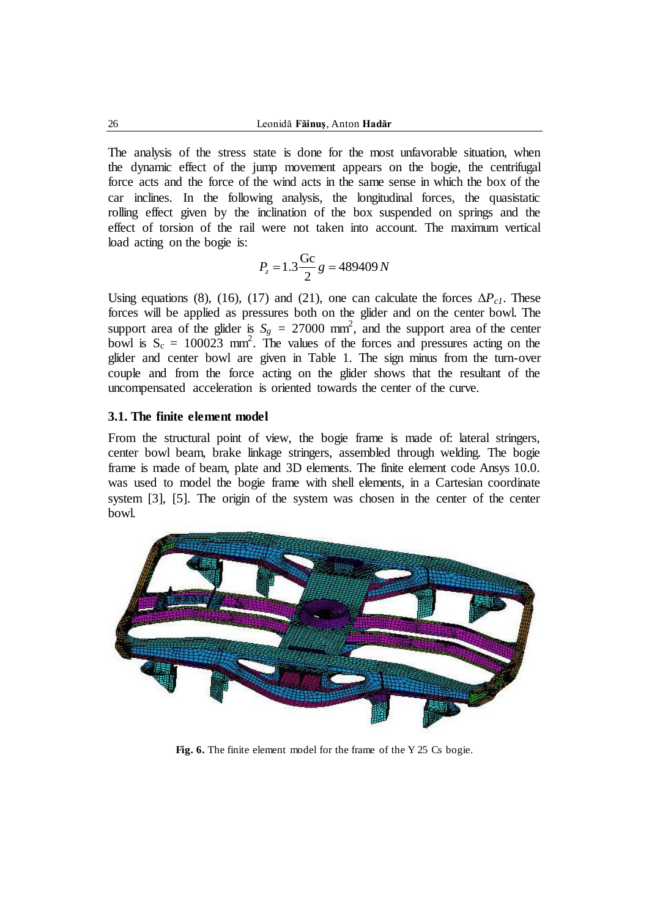The analysis of the stress state is done for the most unfavorable situation, when the dynamic effect of the jump movement appears on the bogie, the centrifugal force acts and the force of the wind acts in the same sense in which the box of the car inclines. In the following analysis, the longitudinal forces, the quasistatic rolling effect given by the inclination of the box suspended on springs and the effect of torsion of the rail were not taken into account. The maximum vertical load acting on the bogie is:

$$
P_z = 1.3 \frac{\text{Gc}}{2} g = 489409 N
$$

Using equations (8), (16), (17) and (21), one can calculate the forces  $\Delta P_{c1}$ . These forces will be applied as pressures both on the glider and on the center bowl. The support area of the glider is  $S_g = 27000$  mm<sup>2</sup>, and the support area of the center bowl is  $S_c = 100023$  mm<sup>2</sup>. The values of the forces and pressures acting on the glider and center bowl are given in Table 1. The sign minus from the turn-over couple and from the force acting on the glider shows that the resultant of the uncompensated acceleration is oriented towards the center of the curve.

### **3.1. The finite element model**

From the structural point of view, the bogie frame is made of: lateral stringers, center bowl beam, brake linkage stringers, assembled through welding. The bogie frame is made of beam, plate and 3D elements. The finite element code Ansys 10.0. was used to model the bogie frame with shell elements, in a Cartesian coordinate system [3], [5]. The origin of the system was chosen in the center of the center bowl.



**Fig. 6.** The finite element model for the frame of the Y 25 Cs bogie.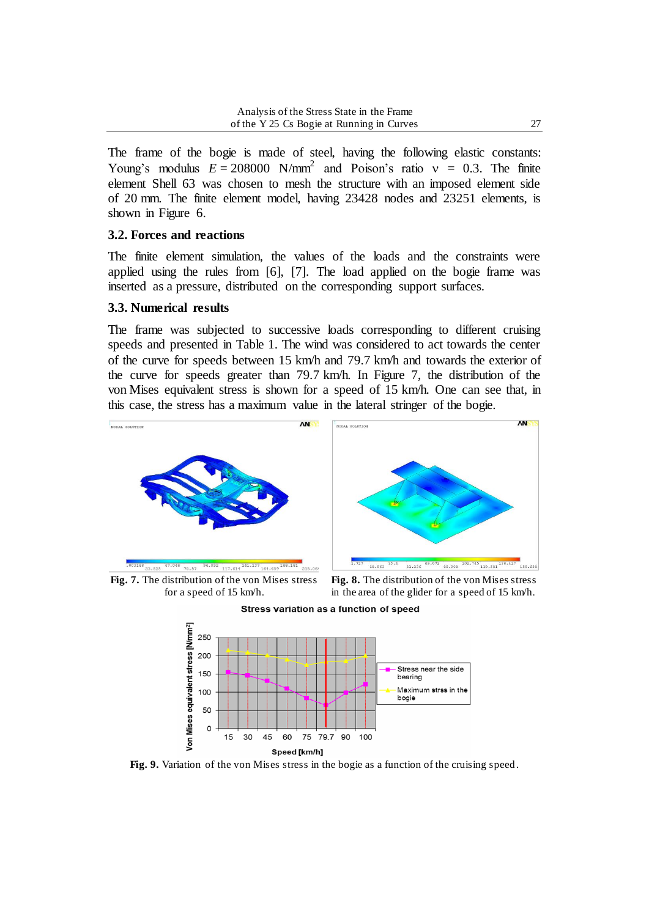The frame of the bogie is made of steel, having the following elastic constants: Young's modulus  $E = 208000 \text{ N/mm}^2$  and Poison's ratio  $v = 0.3$ . The finite element Shell 63 was chosen to mesh the structure with an imposed element side of 20 mm. The finite element model, having 23428 nodes and 23251 elements, is shown in Figure 6.

### **3.2. Forces and reactions**

The finite element simulation, the values of the loads and the constraints were applied using the rules from [6], [7]. The load applied on the bogie frame was inserted as a pressure, distributed on the corresponding support surfaces.

### **3.3. Numerical results**

The frame was subjected to successive loads corresponding to different cruising speeds and presented in Table 1. The wind was considered to act towards the center of the curve for speeds between 15 km/h and 79.7 km/h and towards the exterior of the curve for speeds greater than 79.7 km/h. In Figure 7, the distribution of the von Mises equivalent stress is shown for a speed of 15 km/h. One can see that, in this case, the stress has a maximum value in the lateral stringer of the bogie.



**Fig. 7.** The distribution of the von Mises stress for a speed of 15 km/h.

**Fig. 8.** The distribution of the von Mises stress in the area of the glider for a speed of 15 km/h.





Fig. 9. Variation of the von Mises stress in the bogie as a function of the cruising speed.